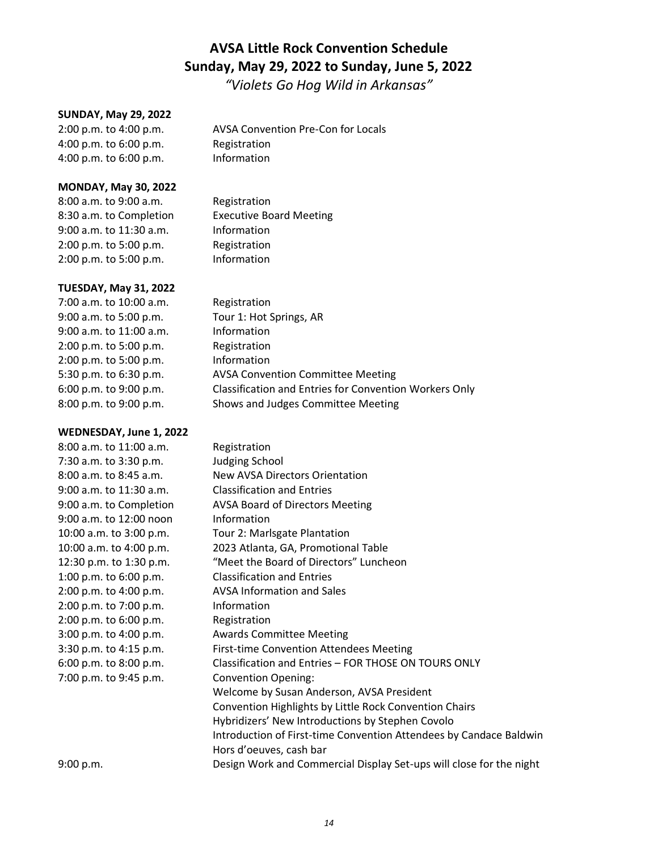# **AVSA Little Rock Convention Schedule Sunday, May 29, 2022 to Sunday, June 5, 2022**

*"Violets Go Hog Wild in Arkansas"*

#### **SUNDAY, May 29, 2022**

2:00 p.m. to 4:00 p.m. AVSA Convention Pre-Con for Locals 4:00 p.m. to 6:00 p.m. Registration 4:00 p.m. to 6:00 p.m. Information

#### **MONDAY, May 30, 2022**

8:00 a.m. to 9:00 a.m. Registration 9:00 a.m. to 11:30 a.m. Information 2:00 p.m. to 5:00 p.m. Registration 2:00 p.m. to 5:00 p.m. Information

## **TUESDAY, May 31, 2022**

7:00 a.m. to 10:00 a.m. Registration 9:00 a.m. to 5:00 p.m. Tour 1: Hot Springs, AR 9:00 a.m. to 11:00 a.m. Information 2:00 p.m. to 5:00 p.m. Registration 2:00 p.m. to 5:00 p.m. Information 5:30 p.m. to 6:30 p.m. AVSA Convention Committee Meeting 6:00 p.m. to 9:00 p.m. Classification and Entries for Convention Workers Only 8:00 p.m. to 9:00 p.m. Shows and Judges Committee Meeting

## **WEDNESDAY, June 1, 2022**

| 8:00 a.m. to 11:00 a.m. | Registration                                                        |
|-------------------------|---------------------------------------------------------------------|
| 7:30 a.m. to 3:30 p.m.  | Judging School                                                      |
| 8:00 a.m. to 8:45 a.m.  | New AVSA Directors Orientation                                      |
| 9:00 a.m. to 11:30 a.m. | <b>Classification and Entries</b>                                   |
| 9:00 a.m. to Completion | <b>AVSA Board of Directors Meeting</b>                              |
| 9:00 a.m. to 12:00 noon | Information                                                         |
| 10:00 a.m. to 3:00 p.m. | Tour 2: Marlsgate Plantation                                        |
| 10:00 a.m. to 4:00 p.m. | 2023 Atlanta, GA, Promotional Table                                 |
| 12:30 p.m. to 1:30 p.m. | "Meet the Board of Directors" Luncheon                              |
| 1:00 p.m. to 6:00 p.m.  | <b>Classification and Entries</b>                                   |
| 2:00 p.m. to 4:00 p.m.  | <b>AVSA Information and Sales</b>                                   |
| 2:00 p.m. to 7:00 p.m.  | Information                                                         |
| 2:00 p.m. to 6:00 p.m.  | Registration                                                        |
| 3:00 p.m. to 4:00 p.m.  | <b>Awards Committee Meeting</b>                                     |
| 3:30 p.m. to 4:15 p.m.  | First-time Convention Attendees Meeting                             |
| 6:00 p.m. to 8:00 p.m.  | Classification and Entries - FOR THOSE ON TOURS ONLY                |
| 7:00 p.m. to 9:45 p.m.  | <b>Convention Opening:</b>                                          |
|                         | Welcome by Susan Anderson, AVSA President                           |
|                         | Convention Highlights by Little Rock Convention Chairs              |
|                         | Hybridizers' New Introductions by Stephen Covolo                    |
|                         | Introduction of First-time Convention Attendees by Candace Baldwin  |
|                         | Hors d'oeuves, cash bar                                             |
| 9:00 p.m.               | Design Work and Commercial Display Set-ups will close for the night |

8:30 a.m. to Completion Executive Board Meeting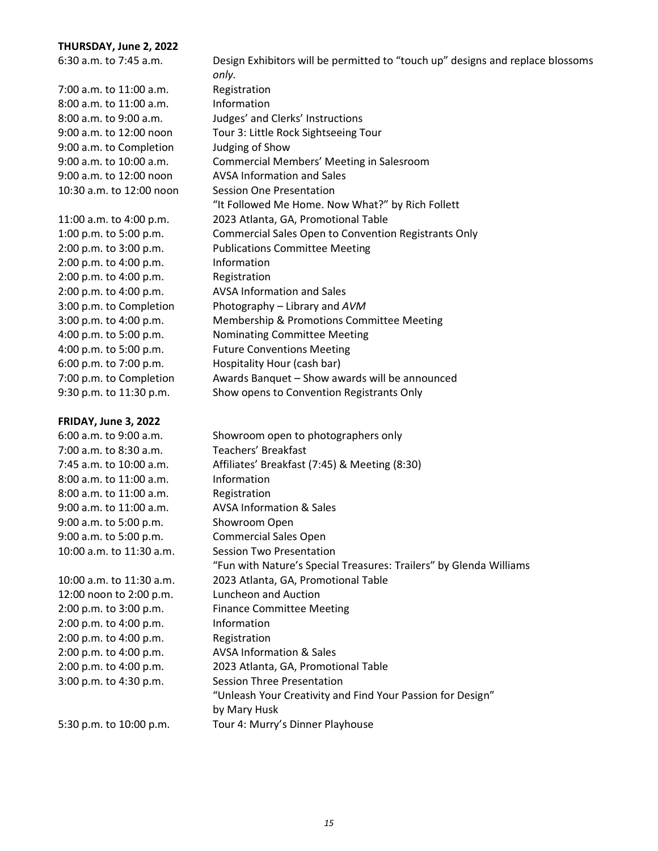#### **THURSDAY, June 2, 2022**

6:30 a.m. to 7:45 a.m. Design Exhibitors will be permitted to "touch up" designs and replace blossoms *only.* 7:00 a.m. to 11:00 a.m. Registration 8:00 a.m. to 11:00 a.m. Information 8:00 a.m. to 9:00 a.m. Judges' and Clerks' Instructions 9:00 a.m. to 12:00 noon Tour 3: Little Rock Sightseeing Tour 9:00 a.m. to Completion Judging of Show 9:00 a.m. to 12:00 noon AVSA Information and Sales 10:30 a.m. to 12:00 noon Session One Presentation 11:00 a.m. to 4:00 p.m. 2023 Atlanta, GA, Promotional Table 2:00 p.m. to 3:00 p.m. Publications Committee Meeting 2:00 p.m. to 4:00 p.m. Information 2:00 p.m. to 4:00 p.m. Registration 2:00 p.m. to 4:00 p.m. AVSA Information and Sales 3:00 p.m. to Completion Photography – Library and *AVM*

#### **FRIDAY, June 3, 2022**

9:00 a.m. to 10:00 a.m. Commercial Members' Meeting in Salesroom "It Followed Me Home. Now What?" by Rich Follett 1:00 p.m. to 5:00 p.m. Commercial Sales Open to Convention Registrants Only 3:00 p.m. to 4:00 p.m. Membership & Promotions Committee Meeting 4:00 p.m. to 5:00 p.m. Nominating Committee Meeting 4:00 p.m. to 5:00 p.m. Future Conventions Meeting 6:00 p.m. to 7:00 p.m. Hospitality Hour (cash bar) 7:00 p.m. to Completion Awards Banquet – Show awards will be announced

9:30 p.m. to 11:30 p.m. Show opens to Convention Registrants Only

6:00 a.m. to 9:00 a.m. Showroom open to photographers only 7:00 a.m. to 8:30 a.m. Teachers' Breakfast 7:45 a.m. to 10:00 a.m. Affiliates' Breakfast (7:45) & Meeting (8:30) 8:00 a.m. to 11:00 a.m. Information 8:00 a.m. to 11:00 a.m. Registration 9:00 a.m. to 11:00 a.m. AVSA Information & Sales 9:00 a.m. to 5:00 p.m. Showroom Open 9:00 a.m. to 5:00 p.m. Commercial Sales Open 10:00 a.m. to 11:30 a.m. Session Two Presentation "Fun with Nature's Special Treasures: Trailers" by Glenda Williams 10:00 a.m. to 11:30 a.m. 2023 Atlanta, GA, Promotional Table 12:00 noon to 2:00 p.m. Luncheon and Auction 2:00 p.m. to 3:00 p.m. Finance Committee Meeting 2:00 p.m. to 4:00 p.m. Information 2:00 p.m. to 4:00 p.m. Registration 2:00 p.m. to 4:00 p.m. AVSA Information & Sales 2:00 p.m. to 4:00 p.m. 2023 Atlanta, GA, Promotional Table 3:00 p.m. to 4:30 p.m. Session Three Presentation "Unleash Your Creativity and Find Your Passion for Design" by Mary Husk 5:30 p.m. to 10:00 p.m. Tour 4: Murry's Dinner Playhouse